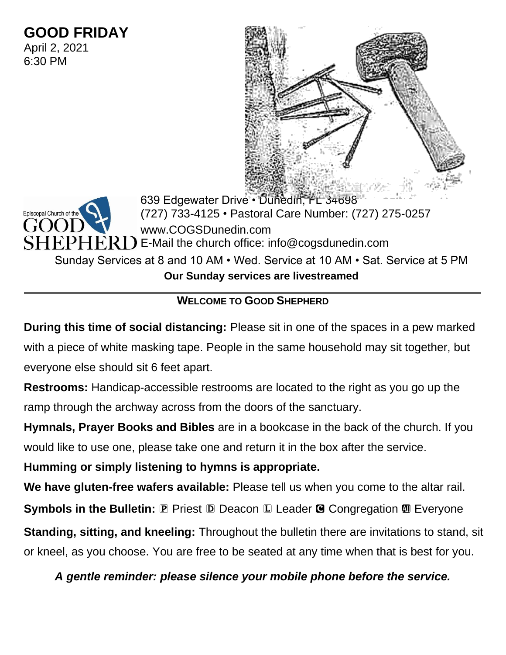# **GOOD FRIDAY**

April 2, 2021 6:30 PM



639 Edgewater Drive • Dunedin, F (727) 733-4125 • Pastoral Care Number: (727) 275-0257 Episcopal Church of the www.COGSDunedin.com  $ER1$  E-Mail the church office: info@cogsdunedin.com Sunday Services at 8 and 10 AM • Wed. Service at 10 AM • Sat. Service at 5 PM **Our Sunday services are livestreamed**

# **WELCOME TO GOOD SHEPHERD**

**During this time of social distancing:** Please sit in one of the spaces in a pew marked with a piece of white masking tape. People in the same household may sit together, but everyone else should sit 6 feet apart.

**Restrooms:** Handicap-accessible restrooms are located to the right as you go up the ramp through the archway across from the doors of the sanctuary.

**Hymnals, Prayer Books and Bibles** are in a bookcase in the back of the church. If you would like to use one, please take one and return it in the box after the service.

**Humming or simply listening to hymns is appropriate.**

**We have gluten-free wafers available:** Please tell us when you come to the altar rail.

**Symbols in the Bulletin: P Priest D Deacon L Leader <b>G** Congregation **M** Everyone

**Standing, sitting, and kneeling:** Throughout the bulletin there are invitations to stand, sit or kneel, as you choose. You are free to be seated at any time when that is best for you.

*A gentle reminder: please silence your mobile phone before the service.*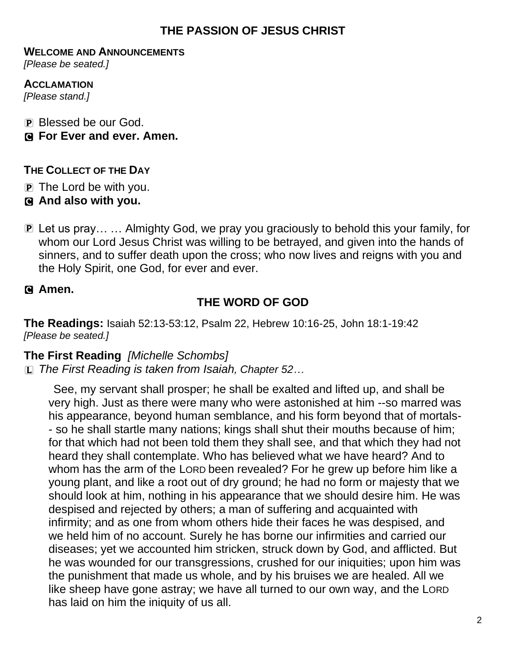### **THE PASSION OF JESUS CHRIST**

**WELCOME AND ANNOUNCEMENTS**

*[Please be seated.]*

#### **ACCLAMATION**

*[Please stand.]*

- P Blessed be our God.
- C **For Ever and ever. Amen.**

### **THE COLLECT OF THE DAY**

 $\overline{p}$  The Lord be with you.

### C **And also with you.**

P Let us pray… … Almighty God, we pray you graciously to behold this your family, for whom our Lord Jesus Christ was willing to be betrayed, and given into the hands of sinners, and to suffer death upon the cross; who now lives and reigns with you and the Holy Spirit, one God, for ever and ever.

### C **Amen.**

# **THE WORD OF GOD**

**The Readings:** Isaiah 52:13-53:12, Psalm 22, Hebrew 10:16-25, John 18:1-19:42 *[Please be seated.]*

### **The First Reading** *[Michelle Schombs]* L *The First Reading is taken from Isaiah, Chapter 52…*

See, my servant shall prosper; he shall be exalted and lifted up, and shall be very high. Just as there were many who were astonished at him --so marred was his appearance, beyond human semblance, and his form beyond that of mortals- - so he shall startle many nations; kings shall shut their mouths because of him; for that which had not been told them they shall see, and that which they had not heard they shall contemplate. Who has believed what we have heard? And to whom has the arm of the LORD been revealed? For he grew up before him like a young plant, and like a root out of dry ground; he had no form or majesty that we should look at him, nothing in his appearance that we should desire him. He was despised and rejected by others; a man of suffering and acquainted with infirmity; and as one from whom others hide their faces he was despised, and we held him of no account. Surely he has borne our infirmities and carried our diseases; yet we accounted him stricken, struck down by God, and afflicted. But he was wounded for our transgressions, crushed for our iniquities; upon him was the punishment that made us whole, and by his bruises we are healed. All we like sheep have gone astray; we have all turned to our own way, and the LORD has laid on him the iniquity of us all.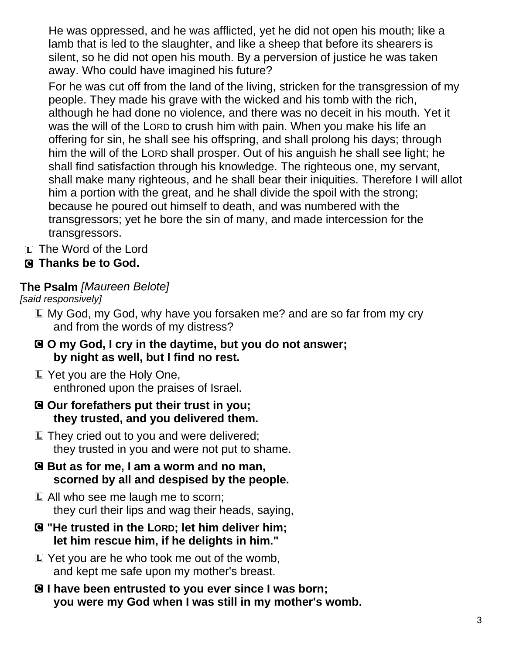He was oppressed, and he was afflicted, yet he did not open his mouth; like a lamb that is led to the slaughter, and like a sheep that before its shearers is silent, so he did not open his mouth. By a perversion of justice he was taken away. Who could have imagined his future?

For he was cut off from the land of the living, stricken for the transgression of my people. They made his grave with the wicked and his tomb with the rich, although he had done no violence, and there was no deceit in his mouth. Yet it was the will of the LORD to crush him with pain. When you make his life an offering for sin, he shall see his offspring, and shall prolong his days; through him the will of the LORD shall prosper. Out of his anguish he shall see light; he shall find satisfaction through his knowledge. The righteous one, my servant, shall make many righteous, and he shall bear their iniquities. Therefore I will allot him a portion with the great, and he shall divide the spoil with the strong; because he poured out himself to death, and was numbered with the transgressors; yet he bore the sin of many, and made intercession for the transgressors.

L The Word of the Lord

# C **Thanks be to God.**

# **The Psalm** *[Maureen Belote]*

*[said responsively]*

- L My God, my God, why have you forsaken me? and are so far from my cry and from the words of my distress?
- C **O my God, I cry in the daytime, but you do not answer; by night as well, but I find no rest.**
- L Yet you are the Holy One, enthroned upon the praises of Israel.
- C **Our forefathers put their trust in you; they trusted, and you delivered them.**
- L They cried out to you and were delivered; they trusted in you and were not put to shame.
- C **But as for me, I am a worm and no man, scorned by all and despised by the people.**
- L All who see me laugh me to scorn; they curl their lips and wag their heads, saying,
- C **"He trusted in the LORD; let him deliver him; let him rescue him, if he delights in him."**
- $E$  Yet you are he who took me out of the womb, and kept me safe upon my mother's breast.
- C **I have been entrusted to you ever since I was born; you were my God when I was still in my mother's womb.**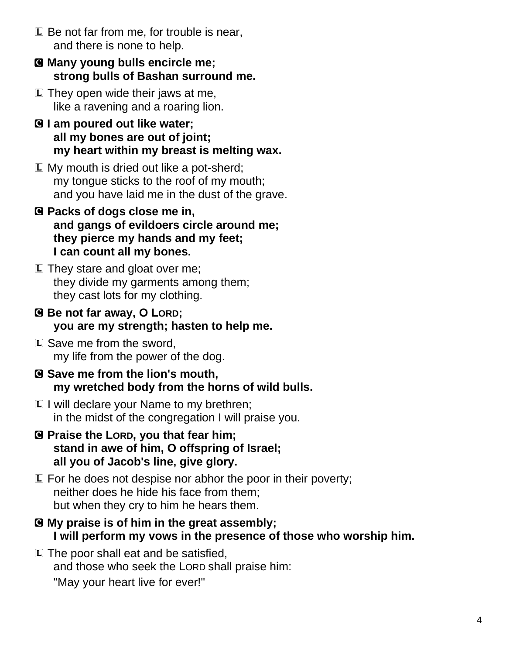L Be not far from me, for trouble is near, and there is none to help.

### C **Many young bulls encircle me; strong bulls of Bashan surround me.**

- $L$  They open wide their jaws at me, like a ravening and a roaring lion.
- C **I am poured out like water; all my bones are out of joint; my heart within my breast is melting wax.**
- L My mouth is dried out like a pot-sherd; my tongue sticks to the roof of my mouth; and you have laid me in the dust of the grave.
- C **Packs of dogs close me in, and gangs of evildoers circle around me; they pierce my hands and my feet; I can count all my bones.**
- $L$  They stare and gloat over me; they divide my garments among them; they cast lots for my clothing.
- C **Be not far away, O LORD; you are my strength; hasten to help me.**
- L Save me from the sword, my life from the power of the dog.
- C **Save me from the lion's mouth, my wretched body from the horns of wild bulls.**
- L I will declare your Name to my brethren; in the midst of the congregation I will praise you.
- C **Praise the LORD, you that fear him; stand in awe of him, O offspring of Israel; all you of Jacob's line, give glory.**
- L For he does not despise nor abhor the poor in their poverty; neither does he hide his face from them; but when they cry to him he hears them.
- C **My praise is of him in the great assembly; I will perform my vows in the presence of those who worship him.**
- L The poor shall eat and be satisfied, and those who seek the LORD shall praise him: "May your heart live for ever!"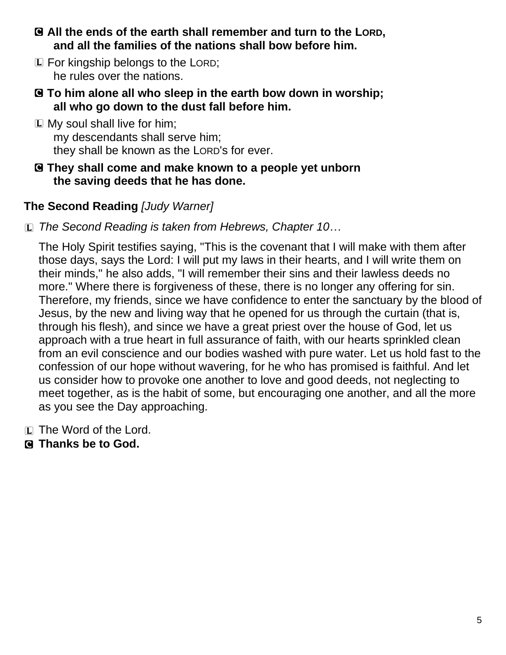- C **All the ends of the earth shall remember and turn to the LORD, and all the families of the nations shall bow before him.**
- L For kingship belongs to the LORD; he rules over the nations.
- C **To him alone all who sleep in the earth bow down in worship; all who go down to the dust fall before him.**
- $L$  My soul shall live for him; my descendants shall serve him; they shall be known as the LORD's for ever.
- C **They shall come and make known to a people yet unborn the saving deeds that he has done.**

# **The Second Reading** *[Judy Warner]*

L *The Second Reading is taken from Hebrews, Chapter 10…*

The Holy Spirit testifies saying, "This is the covenant that I will make with them after those days, says the Lord: I will put my laws in their hearts, and I will write them on their minds," he also adds, "I will remember their sins and their lawless deeds no more." Where there is forgiveness of these, there is no longer any offering for sin. Therefore, my friends, since we have confidence to enter the sanctuary by the blood of Jesus, by the new and living way that he opened for us through the curtain (that is, through his flesh), and since we have a great priest over the house of God, let us approach with a true heart in full assurance of faith, with our hearts sprinkled clean from an evil conscience and our bodies washed with pure water. Let us hold fast to the confession of our hope without wavering, for he who has promised is faithful. And let us consider how to provoke one another to love and good deeds, not neglecting to meet together, as is the habit of some, but encouraging one another, and all the more as you see the Day approaching.

- L The Word of the Lord.
- C **Thanks be to God.**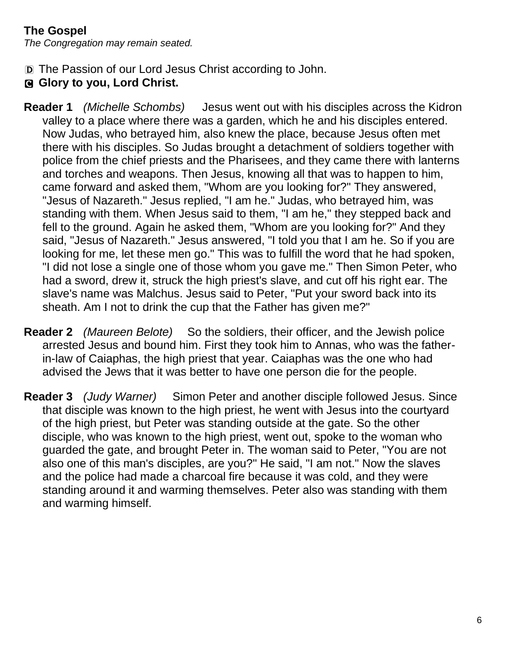### **The Gospel**

*The Congregation may remain seated.* 

- D The Passion of our Lord Jesus Christ according to John.
- C **Glory to you, Lord Christ.**
- **Reader 1** *(Michelle Schombs)* Jesus went out with his disciples across the Kidron valley to a place where there was a garden, which he and his disciples entered. Now Judas, who betrayed him, also knew the place, because Jesus often met there with his disciples. So Judas brought a detachment of soldiers together with police from the chief priests and the Pharisees, and they came there with lanterns and torches and weapons. Then Jesus, knowing all that was to happen to him, came forward and asked them, "Whom are you looking for?" They answered, "Jesus of Nazareth." Jesus replied, "I am he." Judas, who betrayed him, was standing with them. When Jesus said to them, "I am he," they stepped back and fell to the ground. Again he asked them, "Whom are you looking for?" And they said, "Jesus of Nazareth." Jesus answered, "I told you that I am he. So if you are looking for me, let these men go." This was to fulfill the word that he had spoken, "I did not lose a single one of those whom you gave me." Then Simon Peter, who had a sword, drew it, struck the high priest's slave, and cut off his right ear. The slave's name was Malchus. Jesus said to Peter, "Put your sword back into its sheath. Am I not to drink the cup that the Father has given me?"
- **Reader 2** *(Maureen Belote)* So the soldiers, their officer, and the Jewish police arrested Jesus and bound him. First they took him to Annas, who was the fatherin-law of Caiaphas, the high priest that year. Caiaphas was the one who had advised the Jews that it was better to have one person die for the people.
- **Reader 3** *(Judy Warner)* Simon Peter and another disciple followed Jesus. Since that disciple was known to the high priest, he went with Jesus into the courtyard of the high priest, but Peter was standing outside at the gate. So the other disciple, who was known to the high priest, went out, spoke to the woman who guarded the gate, and brought Peter in. The woman said to Peter, "You are not also one of this man's disciples, are you?" He said, "I am not." Now the slaves and the police had made a charcoal fire because it was cold, and they were standing around it and warming themselves. Peter also was standing with them and warming himself.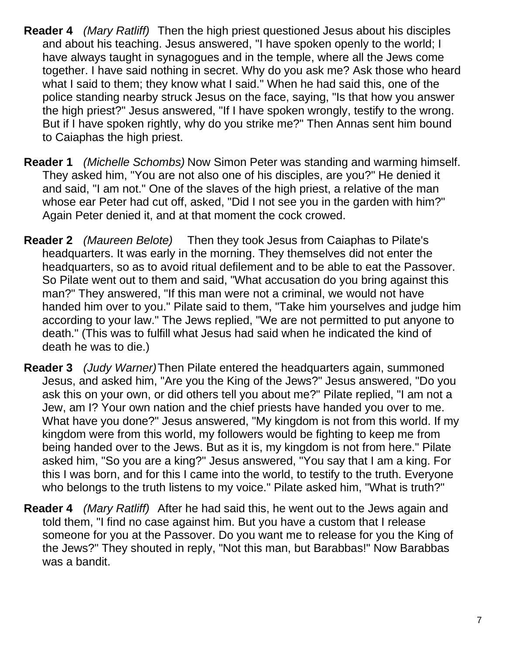- **Reader 4** *(Mary Ratliff)* Then the high priest questioned Jesus about his disciples and about his teaching. Jesus answered, "I have spoken openly to the world; I have always taught in synagogues and in the temple, where all the Jews come together. I have said nothing in secret. Why do you ask me? Ask those who heard what I said to them; they know what I said." When he had said this, one of the police standing nearby struck Jesus on the face, saying, "Is that how you answer the high priest?" Jesus answered, "If I have spoken wrongly, testify to the wrong. But if I have spoken rightly, why do you strike me?" Then Annas sent him bound to Caiaphas the high priest.
- **Reader 1** *(Michelle Schombs)* Now Simon Peter was standing and warming himself. They asked him, "You are not also one of his disciples, are you?" He denied it and said, "I am not." One of the slaves of the high priest, a relative of the man whose ear Peter had cut off, asked, "Did I not see you in the garden with him?" Again Peter denied it, and at that moment the cock crowed.
- **Reader 2** *(Maureen Belote)* Then they took Jesus from Caiaphas to Pilate's headquarters. It was early in the morning. They themselves did not enter the headquarters, so as to avoid ritual defilement and to be able to eat the Passover. So Pilate went out to them and said, "What accusation do you bring against this man?" They answered, "If this man were not a criminal, we would not have handed him over to you." Pilate said to them, "Take him yourselves and judge him according to your law." The Jews replied, "We are not permitted to put anyone to death." (This was to fulfill what Jesus had said when he indicated the kind of death he was to die.)
- **Reader 3** *(Judy Warner)*Then Pilate entered the headquarters again, summoned Jesus, and asked him, "Are you the King of the Jews?" Jesus answered, "Do you ask this on your own, or did others tell you about me?" Pilate replied, "I am not a Jew, am I? Your own nation and the chief priests have handed you over to me. What have you done?" Jesus answered, "My kingdom is not from this world. If my kingdom were from this world, my followers would be fighting to keep me from being handed over to the Jews. But as it is, my kingdom is not from here." Pilate asked him, "So you are a king?" Jesus answered, "You say that I am a king. For this I was born, and for this I came into the world, to testify to the truth. Everyone who belongs to the truth listens to my voice." Pilate asked him, "What is truth?"
- **Reader 4** *(Mary Ratliff)* After he had said this, he went out to the Jews again and told them, "I find no case against him. But you have a custom that I release someone for you at the Passover. Do you want me to release for you the King of the Jews?" They shouted in reply, "Not this man, but Barabbas!" Now Barabbas was a bandit.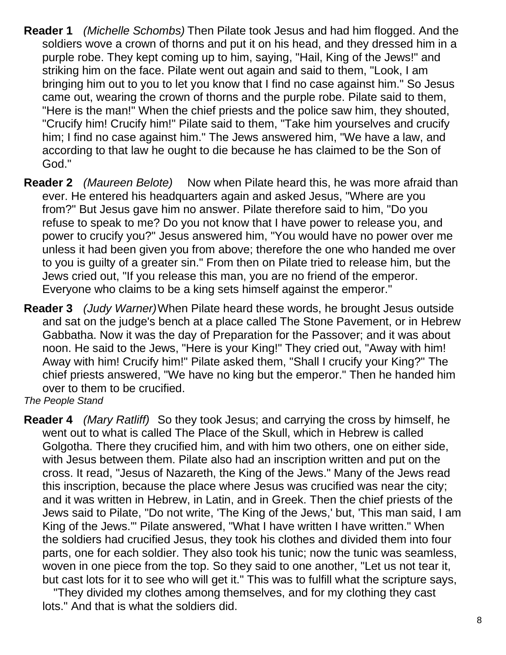- **Reader 1** *(Michelle Schombs)* Then Pilate took Jesus and had him flogged. And the soldiers wove a crown of thorns and put it on his head, and they dressed him in a purple robe. They kept coming up to him, saying, "Hail, King of the Jews!" and striking him on the face. Pilate went out again and said to them, "Look, I am bringing him out to you to let you know that I find no case against him." So Jesus came out, wearing the crown of thorns and the purple robe. Pilate said to them, "Here is the man!" When the chief priests and the police saw him, they shouted, "Crucify him! Crucify him!" Pilate said to them, "Take him yourselves and crucify him; I find no case against him." The Jews answered him, "We have a law, and according to that law he ought to die because he has claimed to be the Son of God."
- **Reader 2** *(Maureen Belote)* Now when Pilate heard this, he was more afraid than ever. He entered his headquarters again and asked Jesus, "Where are you from?" But Jesus gave him no answer. Pilate therefore said to him, "Do you refuse to speak to me? Do you not know that I have power to release you, and power to crucify you?" Jesus answered him, "You would have no power over me unless it had been given you from above; therefore the one who handed me over to you is guilty of a greater sin." From then on Pilate tried to release him, but the Jews cried out, "If you release this man, you are no friend of the emperor. Everyone who claims to be a king sets himself against the emperor."
- **Reader 3** *(Judy Warner)*When Pilate heard these words, he brought Jesus outside and sat on the judge's bench at a place called The Stone Pavement, or in Hebrew Gabbatha. Now it was the day of Preparation for the Passover; and it was about noon. He said to the Jews, "Here is your King!" They cried out, "Away with him! Away with him! Crucify him!" Pilate asked them, "Shall I crucify your King?" The chief priests answered, "We have no king but the emperor." Then he handed him over to them to be crucified.

*The People Stand*

**Reader 4** *(Mary Ratliff)* So they took Jesus; and carrying the cross by himself, he went out to what is called The Place of the Skull, which in Hebrew is called Golgotha. There they crucified him, and with him two others, one on either side, with Jesus between them. Pilate also had an inscription written and put on the cross. It read, "Jesus of Nazareth, the King of the Jews." Many of the Jews read this inscription, because the place where Jesus was crucified was near the city; and it was written in Hebrew, in Latin, and in Greek. Then the chief priests of the Jews said to Pilate, "Do not write, 'The King of the Jews,' but, 'This man said, I am King of the Jews.'" Pilate answered, "What I have written I have written." When the soldiers had crucified Jesus, they took his clothes and divided them into four parts, one for each soldier. They also took his tunic; now the tunic was seamless, woven in one piece from the top. So they said to one another, "Let us not tear it, but cast lots for it to see who will get it." This was to fulfill what the scripture says,

"They divided my clothes among themselves, and for my clothing they cast lots." And that is what the soldiers did.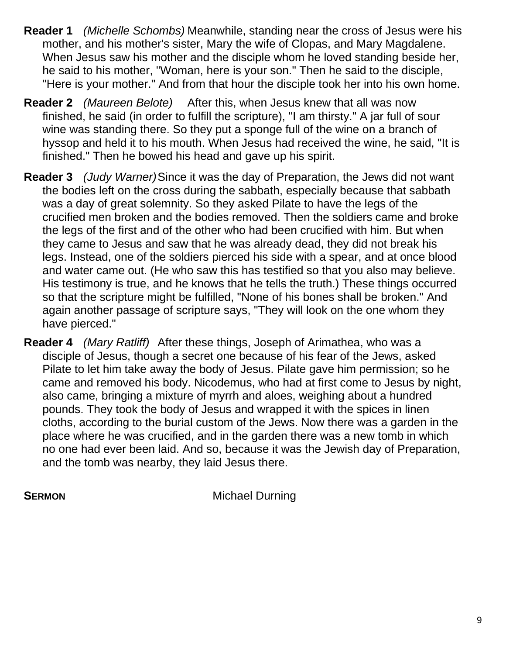- **Reader 1** *(Michelle Schombs)* Meanwhile, standing near the cross of Jesus were his mother, and his mother's sister, Mary the wife of Clopas, and Mary Magdalene. When Jesus saw his mother and the disciple whom he loved standing beside her, he said to his mother, "Woman, here is your son." Then he said to the disciple, "Here is your mother." And from that hour the disciple took her into his own home.
- **Reader 2** *(Maureen Belote)* After this, when Jesus knew that all was now finished, he said (in order to fulfill the scripture), "I am thirsty." A jar full of sour wine was standing there. So they put a sponge full of the wine on a branch of hyssop and held it to his mouth. When Jesus had received the wine, he said, "It is finished." Then he bowed his head and gave up his spirit.
- **Reader 3** *(Judy Warner)*Since it was the day of Preparation, the Jews did not want the bodies left on the cross during the sabbath, especially because that sabbath was a day of great solemnity. So they asked Pilate to have the legs of the crucified men broken and the bodies removed. Then the soldiers came and broke the legs of the first and of the other who had been crucified with him. But when they came to Jesus and saw that he was already dead, they did not break his legs. Instead, one of the soldiers pierced his side with a spear, and at once blood and water came out. (He who saw this has testified so that you also may believe. His testimony is true, and he knows that he tells the truth.) These things occurred so that the scripture might be fulfilled, "None of his bones shall be broken." And again another passage of scripture says, "They will look on the one whom they have pierced."
- **Reader 4** *(Mary Ratliff)* After these things, Joseph of Arimathea, who was a disciple of Jesus, though a secret one because of his fear of the Jews, asked Pilate to let him take away the body of Jesus. Pilate gave him permission; so he came and removed his body. Nicodemus, who had at first come to Jesus by night, also came, bringing a mixture of myrrh and aloes, weighing about a hundred pounds. They took the body of Jesus and wrapped it with the spices in linen cloths, according to the burial custom of the Jews. Now there was a garden in the place where he was crucified, and in the garden there was a new tomb in which no one had ever been laid. And so, because it was the Jewish day of Preparation, and the tomb was nearby, they laid Jesus there.

**SERMON** Michael Durning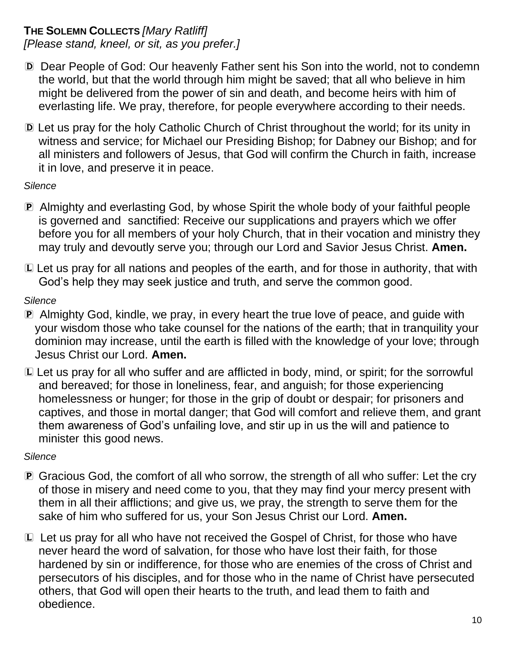# **THE SOLEMN COLLECTS** *[Mary Ratliff]*

*[Please stand, kneel, or sit, as you prefer.]*

- D Dear People of God: Our heavenly Father sent his Son into the world, not to condemn the world, but that the world through him might be saved; that all who believe in him might be delivered from the power of sin and death, and become heirs with him of everlasting life. We pray, therefore, for people everywhere according to their needs.
- D Let us pray for the holy Catholic Church of Christ throughout the world; for its unity in witness and service; for Michael our Presiding Bishop; for Dabney our Bishop; and for all ministers and followers of Jesus, that God will confirm the Church in faith, increase it in love, and preserve it in peace.

#### *Silence*

- P Almighty and everlasting God, by whose Spirit the whole body of your faithful people is governed and sanctified: Receive our supplications and prayers which we offer before you for all members of your holy Church, that in their vocation and ministry they may truly and devoutly serve you; through our Lord and Savior Jesus Christ. **Amen.**
- L Let us pray for all nations and peoples of the earth, and for those in authority, that with God's help they may seek justice and truth, and serve the common good.

#### *Silence*

- P Almighty God, kindle, we pray, in every heart the true love of peace, and guide with your wisdom those who take counsel for the nations of the earth; that in tranquility your dominion may increase, until the earth is filled with the knowledge of your love; through Jesus Christ our Lord. **Amen.**
- L Let us pray for all who suffer and are afflicted in body, mind, or spirit; for the sorrowful and bereaved; for those in loneliness, fear, and anguish; for those experiencing homelessness or hunger; for those in the grip of doubt or despair; for prisoners and captives, and those in mortal danger; that God will comfort and relieve them, and grant them awareness of God's unfailing love, and stir up in us the will and patience to minister this good news.

#### *Silence*

- P Gracious God, the comfort of all who sorrow, the strength of all who suffer: Let the cry of those in misery and need come to you, that they may find your mercy present with them in all their afflictions; and give us, we pray, the strength to serve them for the sake of him who suffered for us, your Son Jesus Christ our Lord. **Amen.**
- L Let us pray for all who have not received the Gospel of Christ, for those who have never heard the word of salvation, for those who have lost their faith, for those hardened by sin or indifference, for those who are enemies of the cross of Christ and persecutors of his disciples, and for those who in the name of Christ have persecuted others, that God will open their hearts to the truth, and lead them to faith and obedience.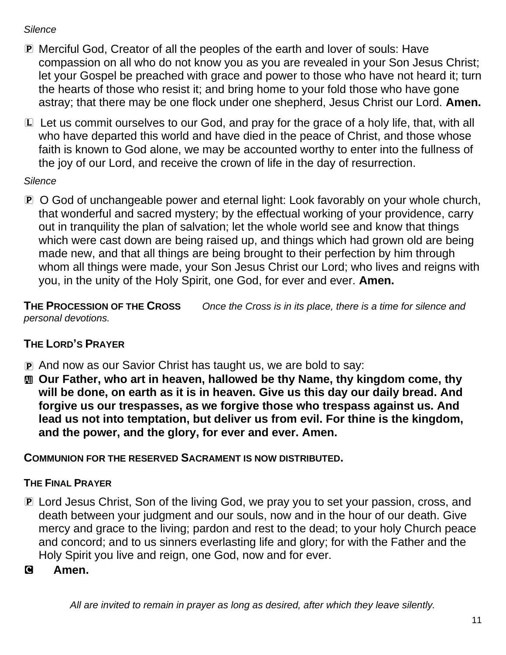#### *Silence*

- P Merciful God, Creator of all the peoples of the earth and lover of souls: Have compassion on all who do not know you as you are revealed in your Son Jesus Christ; let your Gospel be preached with grace and power to those who have not heard it; turn the hearts of those who resist it; and bring home to your fold those who have gone astray; that there may be one flock under one shepherd, Jesus Christ our Lord. **Amen.**
- L Let us commit ourselves to our God, and pray for the grace of a holy life, that, with all who have departed this world and have died in the peace of Christ, and those whose faith is known to God alone, we may be accounted worthy to enter into the fullness of the joy of our Lord, and receive the crown of life in the day of resurrection.

#### *Silence*

P O God of unchangeable power and eternal light: Look favorably on your whole church, that wonderful and sacred mystery; by the effectual working of your providence, carry out in tranquility the plan of salvation; let the whole world see and know that things which were cast down are being raised up, and things which had grown old are being made new, and that all things are being brought to their perfection by him through whom all things were made, your Son Jesus Christ our Lord; who lives and reigns with you, in the unity of the Holy Spirit, one God, for ever and ever. **Amen.**

**THE PROCESSION OF THE CROSS** *Once the Cross is in its place, there is a time for silence and personal devotions.* 

## **THE LORD'S PRAYER**

- P And now as our Savior Christ has taught us, we are bold to say:
- **M** Our Father, who art in heaven, hallowed be thy Name, thy kingdom come, thy **will be done, on earth as it is in heaven. Give us this day our daily bread. And forgive us our trespasses, as we forgive those who trespass against us. And lead us not into temptation, but deliver us from evil. For thine is the kingdom, and the power, and the glory, for ever and ever. Amen.**

**COMMUNION FOR THE RESERVED SACRAMENT IS NOW DISTRIBUTED.**

### **THE FINAL PRAYER**

- P Lord Jesus Christ, Son of the living God, we pray you to set your passion, cross, and death between your judgment and our souls, now and in the hour of our death. Give mercy and grace to the living; pardon and rest to the dead; to your holy Church peace and concord; and to us sinners everlasting life and glory; for with the Father and the Holy Spirit you live and reign, one God, now and for ever.
- C **Amen.**

*All are invited to remain in prayer as long as desired, after which they leave silently.*